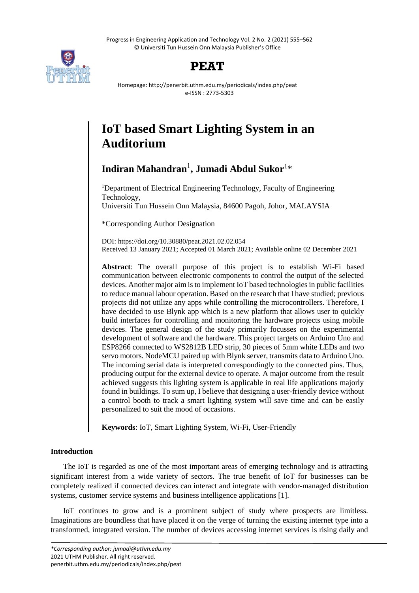Progress in Engineering Application and Technology Vol. 2 No. 2 (2021) 555–562 © Universiti Tun Hussein Onn Malaysia Publisher's Office





Homepage: http://penerbit.uthm.edu.my/periodicals/index.php/peat e-ISSN : 2773-5303

# **IoT based Smart Lighting System in an Auditorium**

# **Indiran Mahandran**<sup>1</sup> **, Jumadi Abdul Sukor**<sup>1</sup>\*

<sup>1</sup>Department of Electrical Engineering Technology, Faculty of Engineering Technology, Universiti Tun Hussein Onn Malaysia, 84600 Pagoh, Johor, MALAYSIA

\*Corresponding Author Designation

DOI: https://doi.org/10.30880/peat.2021.02.02.054 Received 13 January 2021; Accepted 01 March 2021; Available online 02 December 2021

**Abstract**: The overall purpose of this project is to establish Wi-Fi based communication between electronic components to control the output of the selected devices. Another major aim is to implement IoT based technologies in public facilities to reduce manual labour operation. Based on the research that I have studied; previous projects did not utilize any apps while controlling the microcontrollers. Therefore, I have decided to use Blynk app which is a new platform that allows user to quickly build interfaces for controlling and monitoring the hardware projects using mobile devices. The general design of the study primarily focusses on the experimental development of software and the hardware. This project targets on Arduino Uno and ESP8266 connected to WS2812B LED strip, 30 pieces of 5mm white LEDs and two servo motors. NodeMCU paired up with Blynk server, transmits data to Arduino Uno. The incoming serial data is interpreted correspondingly to the connected pins. Thus, producing output for the external device to operate. A major outcome from the result achieved suggests this lighting system is applicable in real life applications majorly found in buildings. To sum up, I believe that designing a user-friendly device without a control booth to track a smart lighting system will save time and can be easily personalized to suit the mood of occasions.

**Keywords**: IoT, Smart Lighting System, Wi-Fi, User-Friendly

# **Introduction**

The IoT is regarded as one of the most important areas of emerging technology and is attracting significant interest from a wide variety of sectors. The true benefit of IoT for businesses can be completely realized if connected devices can interact and integrate with vendor-managed distribution systems, customer service systems and business intelligence applications [1].

IoT continues to grow and is a prominent subject of study where prospects are limitless. Imaginations are boundless that have placed it on the verge of turning the existing internet type into a transformed, integrated version. The number of devices accessing internet services is rising daily and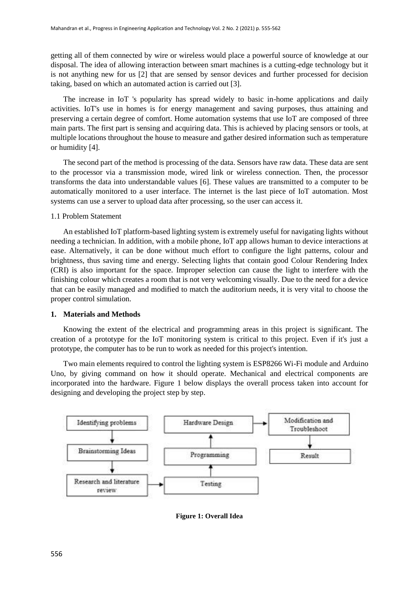getting all of them connected by wire or wireless would place a powerful source of knowledge at our disposal. The idea of allowing interaction between smart machines is a cutting-edge technology but it is not anything new for us [2] that are sensed by sensor devices and further processed for decision taking, based on which an automated action is carried out [3].

The increase in IoT 's popularity has spread widely to basic in-home applications and daily activities. IoT's use in homes is for energy management and saving purposes, thus attaining and preserving a certain degree of comfort. Home automation systems that use IoT are composed of three main parts. The first part is sensing and acquiring data. This is achieved by placing sensors or tools, at multiple locations throughout the house to measure and gather desired information such as temperature or humidity [4].

The second part of the method is processing of the data. Sensors have raw data. These data are sent to the processor via a transmission mode, wired link or wireless connection. Then, the processor transforms the data into understandable values [6]. These values are transmitted to a computer to be automatically monitored to a user interface. The internet is the last piece of IoT automation. Most systems can use a server to upload data after processing, so the user can access it.

#### 1.1 Problem Statement

An established IoT platform-based lighting system is extremely useful for navigating lights without needing a technician. In addition, with a mobile phone, IoT app allows human to device interactions at ease. Alternatively, it can be done without much effort to configure the light patterns, colour and brightness, thus saving time and energy. Selecting lights that contain good Colour Rendering Index (CRI) is also important for the space. Improper selection can cause the light to interfere with the finishing colour which creates a room that is not very welcoming visually. Due to the need for a device that can be easily managed and modified to match the auditorium needs, it is very vital to choose the proper control simulation.

#### **1. Materials and Methods**

Knowing the extent of the electrical and programming areas in this project is significant. The creation of a prototype for the IoT monitoring system is critical to this project. Even if it's just a prototype, the computer has to be run to work as needed for this project's intention.

Two main elements required to control the lighting system is ESP8266 Wi-Fi module and Arduino Uno, by giving command on how it should operate. Mechanical and electrical components are incorporated into the hardware. Figure 1 below displays the overall process taken into account for designing and developing the project step by step.



**Figure 1: Overall Idea**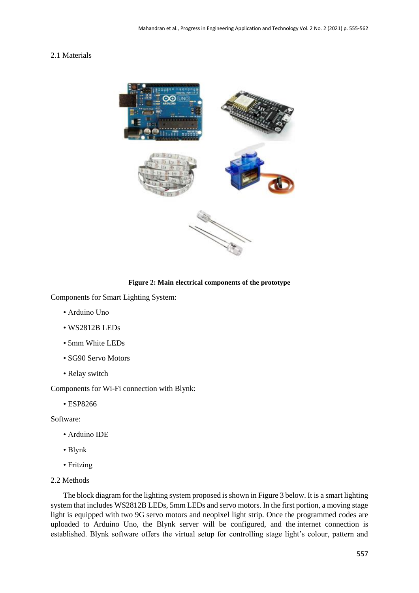# 2.1 Materials



**Figure 2: Main electrical components of the prototype**

Components for Smart Lighting System:

- Arduino Uno
- WS2812B LEDs
- 5mm White LEDs
- SG90 Servo Motors
- Relay switch

Components for Wi-Fi connection with Blynk:

• ESP8266

Software:

- Arduino IDE
- Blynk
- Fritzing
- 2.2 Methods

The block diagram for the lighting system proposed is shown in Figure 3 below. It is a smart lighting system that includes WS2812B LEDs, 5mm LEDs and servo motors. In the first portion, a moving stage light is equipped with two 9G servo motors and neopixel light strip. Once the programmed codes are uploaded to Arduino Uno, the Blynk server will be configured, and the internet connection is established. Blynk software offers the virtual setup for controlling stage light's colour, pattern and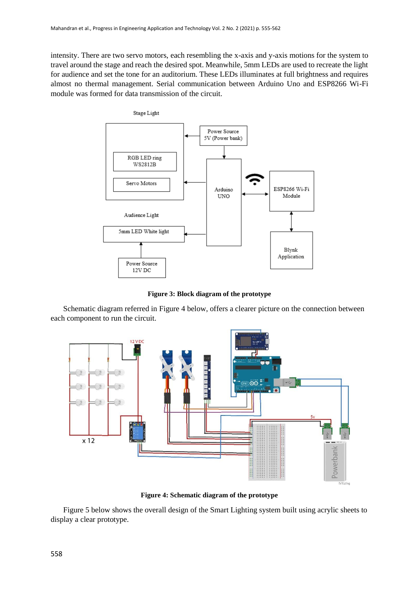intensity. There are two servo motors, each resembling the x-axis and y-axis motions for the system to travel around the stage and reach the desired spot. Meanwhile, 5mm LEDs are used to recreate the light for audience and set the tone for an auditorium. These LEDs illuminates at full brightness and requires almost no thermal management. Serial communication between Arduino Uno and ESP8266 Wi-Fi module was formed for data transmission of the circuit.



**Figure 3: Block diagram of the prototype**

Schematic diagram referred in Figure 4 below, offers a clearer picture on the connection between each component to run the circuit.



**Figure 4: Schematic diagram of the prototype**

Figure 5 below shows the overall design of the Smart Lighting system built using acrylic sheets to display a clear prototype.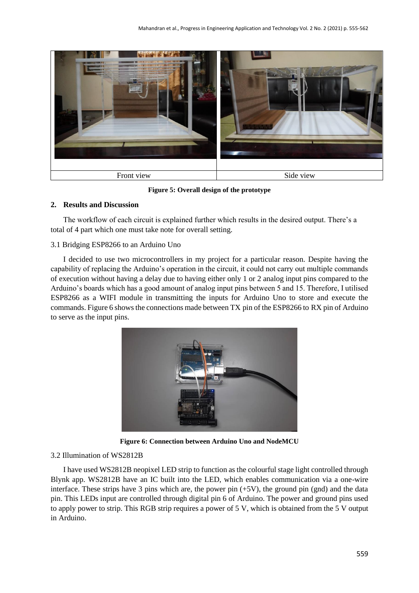

**Figure 5: Overall design of the prototype**

### **2. Results and Discussion**

The workflow of each circuit is explained further which results in the desired output. There's a total of 4 part which one must take note for overall setting.

### 3.1 Bridging ESP8266 to an Arduino Uno

I decided to use two microcontrollers in my project for a particular reason. Despite having the capability of replacing the Arduino's operation in the circuit, it could not carry out multiple commands of execution without having a delay due to having either only 1 or 2 analog input pins compared to the Arduino's boards which has a good amount of analog input pins between 5 and 15. Therefore, I utilised ESP8266 as a WIFI module in transmitting the inputs for Arduino Uno to store and execute the commands. Figure 6 shows the connections made between TX pin of the ESP8266 to RX pin of Arduino to serve as the input pins.



**Figure 6: Connection between Arduino Uno and NodeMCU** 

#### 3.2 Illumination of WS2812B

I have used WS2812B neopixel LED strip to function as the colourful stage light controlled through Blynk app. WS2812B have an IC built into the LED, which enables communication via a one-wire interface. These strips have 3 pins which are, the power pin (+5V), the ground pin (gnd) and the data pin. This LEDs input are controlled through digital pin 6 of Arduino. The power and ground pins used to apply power to strip. This RGB strip requires a power of 5 V, which is obtained from the 5 V output in Arduino.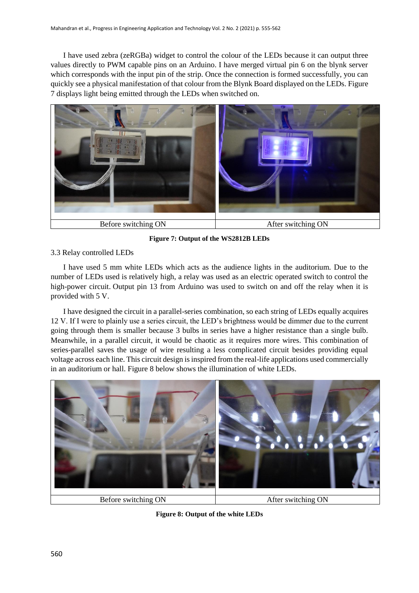I have used zebra (zeRGBa) widget to control the colour of the LEDs because it can output three values directly to PWM capable pins on an Arduino. I have merged virtual pin 6 on the blynk server which corresponds with the input pin of the strip. Once the connection is formed successfully, you can quickly see a physical manifestation of that colour from the Blynk Board displayed on the LEDs. Figure 7 displays light being emitted through the LEDs when switched on.



**Figure 7: Output of the WS2812B LEDs**

# 3.3 Relay controlled LEDs

I have used 5 mm white LEDs which acts as the audience lights in the auditorium. Due to the number of LEDs used is relatively high, a relay was used as an electric operated switch to control the high-power circuit. Output pin 13 from Arduino was used to switch on and off the relay when it is provided with 5 V.

I have designed the circuit in a parallel-series combination, so each string of LEDs equally acquires 12 V. If I were to plainly use a series circuit, the LED's brightness would be dimmer due to the current going through them is smaller because 3 bulbs in series have a higher resistance than a single bulb. Meanwhile, in a parallel circuit, it would be chaotic as it requires more wires. This combination of series-parallel saves the usage of wire resulting a less complicated circuit besides providing equal voltage across each line. This circuit design is inspired from the real-life applications used commercially in an auditorium or hall. Figure 8 below shows the illumination of white LEDs.



Before switching ON After switching ON

**Figure 8: Output of the white LEDs**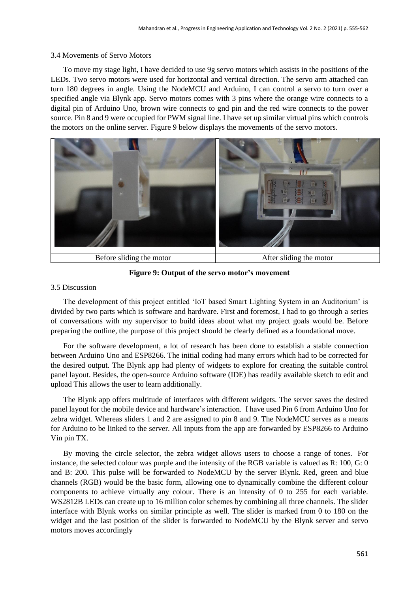#### 3.4 Movements of Servo Motors

To move my stage light, I have decided to use 9g servo motors which assists in the positions of the LEDs. Two servo motors were used for horizontal and vertical direction. The servo arm attached can turn 180 degrees in angle. Using the NodeMCU and Arduino, I can control a servo to turn over a specified angle via Blynk app. Servo motors comes with 3 pins where the orange wire connects to a digital pin of Arduino Uno, brown wire connects to gnd pin and the red wire connects to the power source. Pin 8 and 9 were occupied for PWM signal line. I have set up similar virtual pins which controls the motors on the online server. Figure 9 below displays the movements of the servo motors.



**Figure 9: Output of the servo motor's movement**

#### 3.5 Discussion

The development of this project entitled 'IoT based Smart Lighting System in an Auditorium' is divided by two parts which is software and hardware. First and foremost, I had to go through a series of conversations with my supervisor to build ideas about what my project goals would be. Before preparing the outline, the purpose of this project should be clearly defined as a foundational move.

For the software development, a lot of research has been done to establish a stable connection between Arduino Uno and ESP8266. The initial coding had many errors which had to be corrected for the desired output. The Blynk app had plenty of widgets to explore for creating the suitable control panel layout. Besides, the open-source Arduino software (IDE) has readily available sketch to edit and upload This allows the user to learn additionally.

The Blynk app offers multitude of interfaces with different widgets. The server saves the desired panel layout for the mobile device and hardware's interaction. I have used Pin 6 from Arduino Uno for zebra widget. Whereas sliders 1 and 2 are assigned to pin 8 and 9. The NodeMCU serves as a means for Arduino to be linked to the server. All inputs from the app are forwarded by ESP8266 to Arduino Vin pin TX.

By moving the circle selector, the zebra widget allows users to choose a range of tones. For instance, the selected colour was purple and the intensity of the RGB variable is valued as R: 100, G: 0 and B: 200. This pulse will be forwarded to NodeMCU by the server Blynk. Red, green and blue channels (RGB) would be the basic form, allowing one to dynamically combine the different colour components to achieve virtually any colour. There is an intensity of 0 to 255 for each variable. WS2812B LEDs can create up to 16 million color schemes by combining all three channels. The slider interface with Blynk works on similar principle as well. The slider is marked from 0 to 180 on the widget and the last position of the slider is forwarded to NodeMCU by the Blynk server and servo motors moves accordingly